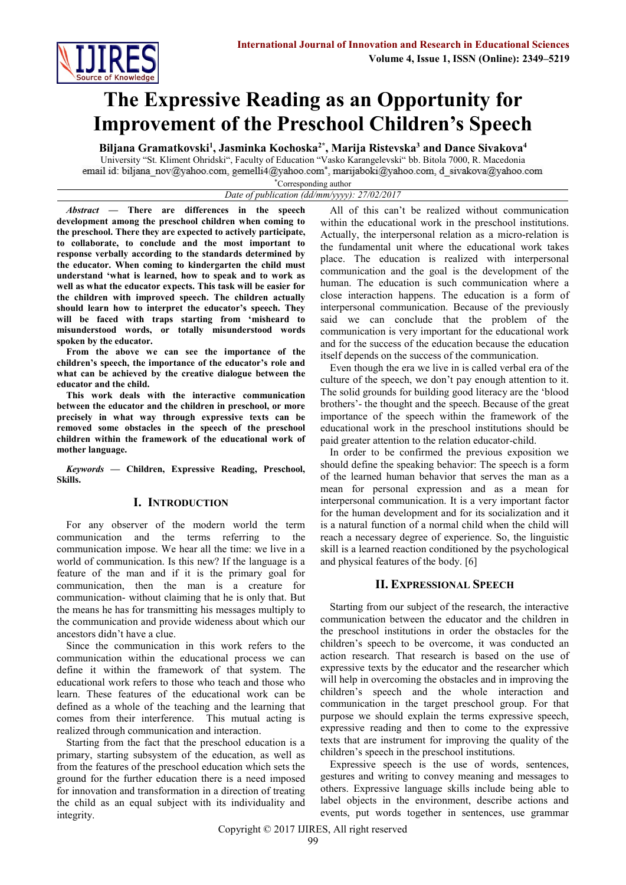

# **The Expressive Reading as an Opportunity for Improvement of the Preschool Children's Speech**

**Biljana Gramatkovski<sup>1</sup> , Jasminka Kochoska2\* , Marija Ristevska<sup>3</sup> and Dance Sivakova<sup>4</sup>**

University "St. Kliment Ohridski", Faculty of Education "Vasko Karangelevski" bb. Bitola 7000, R. Macedonia email id: biljana nov@yahoo.com, gemelli4@yahoo.com\*, marijaboki@yahoo.com, d sivakova@yahoo.com

#### \*Corresponding author *Date of publication (dd/mm/yyyy): 27/02/2017*

*Abstract —* **There are differences in the speech development among the preschool children when coming to the preschool. There they are expected to actively participate, to collaborate, to conclude and the most important to response verbally according to the standards determined by the educator. When coming to kindergarten the child must understand 'what is learned, how to speak and to work as well as what the educator expects. This task will be easier for the children with improved speech. The children actually should learn how to interpret the educator's speech. They will be faced with traps starting from 'misheard to misunderstood words, or totally misunderstood words spoken by the educator.** 

**From the above we can see the importance of the children's speech, the importance of the educator's role and what can be achieved by the creative dialogue between the educator and the child.**

**This work deals with the interactive communication between the educator and the children in preschool, or more precisely in what way through expressive texts can be removed some obstacles in the speech of the preschool children within the framework of the educational work of mother language.**

*Keywords —* **Children, Expressive Reading, Preschool, Skills.**

# **I. INTRODUCTION**

For any observer of the modern world the term communication and the terms referring to the communication impose. We hear all the time: we live in a world of communication. Is this new? If the language is a feature of the man and if it is the primary goal for communication, then the man is a creature for communication- without claiming that he is only that. But the means he has for transmitting his messages multiply to the communication and provide wideness about which our ancestors didn't have a clue.

Since the communication in this work refers to the communication within the educational process we can define it within the framework of that system. The educational work refers to those who teach and those who learn. These features of the educational work can be defined as a whole of the teaching and the learning that comes from their interference. This mutual acting is realized through communication and interaction.

Starting from the fact that the preschool education is a primary, starting subsystem of the education, as well as from the features of the preschool education which sets the ground for the further education there is a need imposed for innovation and transformation in a direction of treating the child as an equal subject with its individuality and integrity.

All of this can't be realized without communication within the educational work in the preschool institutions. Actually, the interpersonal relation as a micro-relation is the fundamental unit where the educational work takes place. The education is realized with interpersonal communication and the goal is the development of the human. The education is such communication where a close interaction happens. The education is a form of interpersonal communication. Because of the previously said we can conclude that the problem of the communication is very important for the educational work and for the success of the education because the education itself depends on the success of the communication.

Even though the era we live in is called verbal era of the culture of the speech, we don't pay enough attention to it. The solid grounds for building good literacy are the 'blood brothers'- the thought and the speech. Because of the great importance of the speech within the framework of the educational work in the preschool institutions should be paid greater attention to the relation educator-child.

In order to be confirmed the previous exposition we should define the speaking behavior: The speech is a form of the learned human behavior that serves the man as a mean for personal expression and as a mean for interpersonal communication. It is a very important factor for the human development and for its socialization and it is a natural function of a normal child when the child will reach a necessary degree of experience. So, the linguistic skill is a learned reaction conditioned by the psychological and physical features of the body. [6]

# **II. EXPRESSIONAL SPEECH**

Starting from our subject of the research, the interactive communication between the educator and the children in the preschool institutions in order the obstacles for the children's speech to be overcome, it was conducted an action research. That research is based on the use of expressive texts by the educator and the researcher which will help in overcoming the obstacles and in improving the children's speech and the whole interaction and communication in the target preschool group. For that purpose we should explain the terms expressive speech, expressive reading and then to come to the expressive texts that are instrument for improving the quality of the children's speech in the preschool institutions.

Expressive speech is the use of words, sentences, gestures and writing to convey meaning and messages to others. Expressive language skills include being able to label objects in the environment, describe actions and events, put words together in sentences, use grammar

Copyright © 2017 IJIRES, All right reserved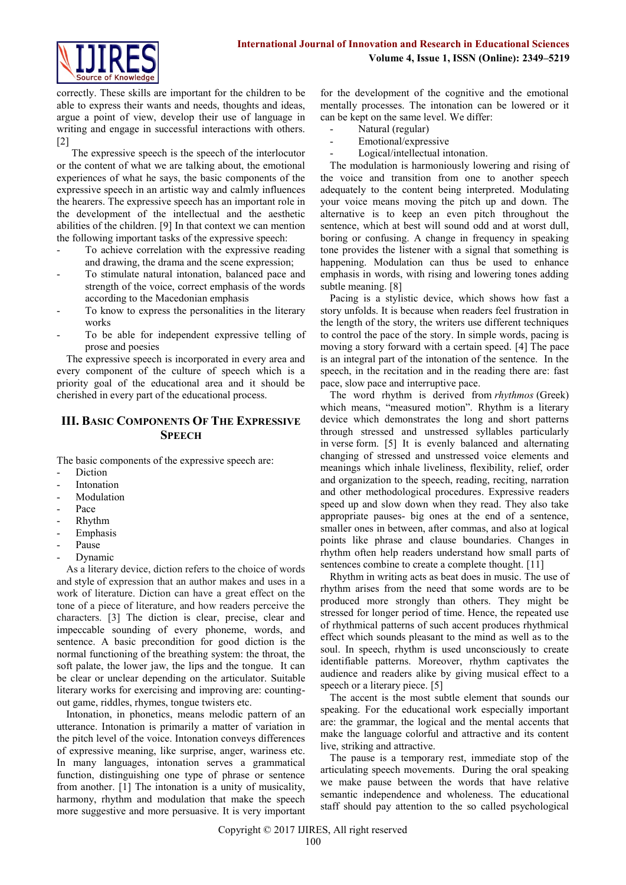

correctly. These skills are important for the children to be able to express their wants and needs, thoughts and ideas, argue a point of view, develop their use of language in writing and engage in successful interactions with others. [2]

The expressive speech is the speech of the interlocutor or the content of what we are talking about, the emotional experiences of what he says, the basic components of the expressive speech in an artistic way and calmly influences the hearers. The expressive speech has an important role in the development of the intellectual and the aesthetic abilities of the children. [9] In that context we can mention the following important tasks of the expressive speech:

- To achieve correlation with the expressive reading and drawing, the drama and the scene expression;
- To stimulate natural intonation, balanced pace and strength of the voice, correct emphasis of the words according to the Macedonian emphasis
- To know to express the personalities in the literary works
- To be able for independent expressive telling of prose and poesies

The expressive speech is incorporated in every area and every component of the culture of speech which is a priority goal of the educational area and it should be cherished in every part of the educational process.

# **III. BASIC COMPONENTS OF THE EXPRESSIVE SPEECH**

The basic components of the expressive speech are:

- **Diction**
- **Intonation**
- Modulation
- Pace
- Rhythm
- **Emphasis**
- Pause
- Dynamic

As a literary device, diction refers to the choice of words and style of expression that an author makes and uses in a work of literature. Diction can have a great effect on the tone of a piece of literature, and how readers perceive the characters. [3] The diction is clear, precise, clear and impeccable sounding of every phoneme, words, and sentence. A basic precondition for good diction is the normal functioning of the breathing system: the throat, the soft palate, the lower jaw, the lips and the tongue. It can be clear or unclear depending on the articulator. Suitable literary works for exercising and improving are: countingout game, riddles, rhymes, tongue twisters etc.

Intonation, in phonetics, means melodic pattern of an utterance. Intonation is primarily a matter of variation in the pitch level of the voice. Intonation conveys differences of expressive meaning, like surprise, anger, wariness etc. In many languages, intonation serves a grammatical function, distinguishing one type of phrase or sentence from another. [1] The intonation is a unity of musicality, harmony, rhythm and modulation that make the speech more suggestive and more persuasive. It is very important

for the development of the cognitive and the emotional mentally processes. The intonation can be lowered or it can be kept on the same level. We differ:

- Natural (regular)
- Emotional/expressive
- Logical/intellectual intonation.

The modulation is harmoniously lowering and rising of the voice and transition from one to another speech adequately to the content being interpreted. Modulating your voice means moving the pitch up and down. The alternative is to keep an even pitch throughout the sentence, which at best will sound odd and at worst dull, boring or confusing. A change in frequency in speaking tone provides the listener with a signal that something is happening. Modulation can thus be used to enhance emphasis in words, with rising and lowering tones adding subtle meaning. [8]

Pacing is a stylistic device, which shows how fast a story unfolds. It is because when readers feel frustration in the length of the story, the writers use different techniques to control the pace of the story. In simple words, pacing is moving a story forward with a certain speed. [4] The pace is an integral part of the intonation of the sentence. In the speech, in the recitation and in the reading there are: fast pace, slow pace and interruptive pace.

The word rhythm is derived from *rhythmos* (Greek) which means, "measured motion". Rhythm is a literary device which demonstrates the long and short patterns through stressed and unstressed syllables particularly in verse form. [5] It is evenly balanced and alternating changing of stressed and unstressed voice elements and meanings which inhale liveliness, flexibility, relief, order and organization to the speech, reading, reciting, narration and other methodological procedures. Expressive readers speed up and slow down when they read. They also take appropriate pauses- big ones at the end of a sentence, smaller ones in between, after commas, and also at logical points like phrase and clause boundaries. Changes in rhythm often help readers understand how small parts of sentences combine to create a complete thought. [11]

Rhythm in writing acts as beat does in music. The use of rhythm arises from the need that some words are to be produced more strongly than others. They might be stressed for longer period of time. Hence, the repeated use of rhythmical patterns of such accent produces rhythmical effect which sounds pleasant to the mind as well as to the soul. In speech, rhythm is used unconsciously to create identifiable patterns. Moreover, rhythm captivates the audience and readers alike by giving musical effect to a speech or a literary piece. [5]

The accent is the most subtle element that sounds our speaking. For the educational work especially important are: the grammar, the logical and the mental accents that make the language colorful and attractive and its content live, striking and attractive.

The pause is a temporary rest, immediate stop of the articulating speech movements. During the oral speaking we make pause between the words that have relative semantic independence and wholeness. The educational staff should pay attention to the so called psychological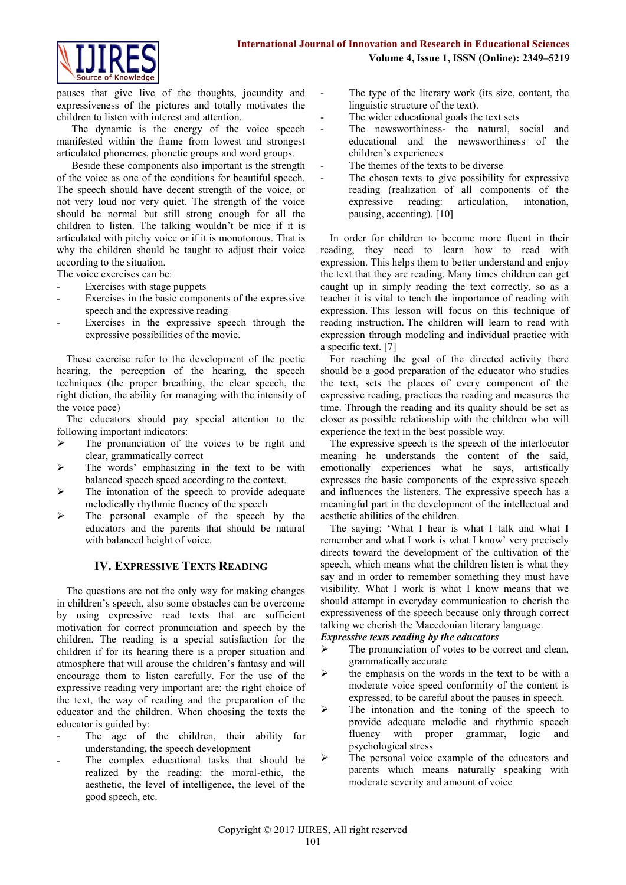

pauses that give live of the thoughts, jocundity and expressiveness of the pictures and totally motivates the children to listen with interest and attention.

The dynamic is the energy of the voice speech manifested within the frame from lowest and strongest articulated phonemes, phonetic groups and word groups.

Beside these components also important is the strength of the voice as one of the conditions for beautiful speech. The speech should have decent strength of the voice, or not very loud nor very quiet. The strength of the voice should be normal but still strong enough for all the children to listen. The talking wouldn't be nice if it is articulated with pitchy voice or if it is monotonous. That is why the children should be taught to adjust their voice according to the situation.

The voice exercises can be:

- Exercises with stage puppets
- Exercises in the basic components of the expressive speech and the expressive reading
- Exercises in the expressive speech through the expressive possibilities of the movie.

These exercise refer to the development of the poetic hearing, the perception of the hearing, the speech techniques (the proper breathing, the clear speech, the right diction, the ability for managing with the intensity of the voice pace)

The educators should pay special attention to the following important indicators:

- $\triangleright$  The pronunciation of the voices to be right and clear, grammatically correct
- $\triangleright$  The words' emphasizing in the text to be with balanced speech speed according to the context.
- $\triangleright$  The intonation of the speech to provide adequate melodically rhythmic fluency of the speech
- $\triangleright$  The personal example of the speech by the educators and the parents that should be natural with balanced height of voice.

# **IV. EXPRESSIVE TEXTS READING**

The questions are not the only way for making changes in children's speech, also some obstacles can be overcome by using expressive read texts that are sufficient motivation for correct pronunciation and speech by the children. The reading is a special satisfaction for the children if for its hearing there is a proper situation and atmosphere that will arouse the children's fantasy and will encourage them to listen carefully. For the use of the expressive reading very important are: the right choice of the text, the way of reading and the preparation of the educator and the children. When choosing the texts the educator is guided by:

- The age of the children, their ability for understanding, the speech development
- The complex educational tasks that should be realized by the reading: the moral-ethic, the aesthetic, the level of intelligence, the level of the good speech, etc.
- The type of the literary work (its size, content, the linguistic structure of the text).
- The wider educational goals the text sets
- The newsworthiness- the natural, social and educational and the newsworthiness of the children's experiences
- The themes of the texts to be diverse
- The chosen texts to give possibility for expressive reading (realization of all components of the expressive reading: articulation, intonation, pausing, accenting). [10]

In order for children to become more fluent in their reading, they need to learn how to read with expression. This helps them to better understand and enjoy the text that they are reading. Many times children can get caught up in simply reading the text correctly, so as a teacher it is vital to teach the importance of reading with expression. This lesson will focus on this technique of reading instruction. The children will learn to read with expression through modeling and individual practice with a specific text. [7]

For reaching the goal of the directed activity there should be a good preparation of the educator who studies the text, sets the places of every component of the expressive reading, practices the reading and measures the time. Through the reading and its quality should be set as closer as possible relationship with the children who will experience the text in the best possible way.

The expressive speech is the speech of the interlocutor meaning he understands the content of the said, emotionally experiences what he says, artistically expresses the basic components of the expressive speech and influences the listeners. The expressive speech has a meaningful part in the development of the intellectual and aesthetic abilities of the children.

The saying: 'What I hear is what I talk and what I remember and what I work is what I know' very precisely directs toward the development of the cultivation of the speech, which means what the children listen is what they say and in order to remember something they must have visibility. What I work is what I know means that we should attempt in everyday communication to cherish the expressiveness of the speech because only through correct talking we cherish the Macedonian literary language.

# *Expressive texts reading by the educators*

- The pronunciation of votes to be correct and clean, grammatically accurate
- $\triangleright$  the emphasis on the words in the text to be with a moderate voice speed conformity of the content is expressed, to be careful about the pauses in speech.
- $\triangleright$  The intonation and the toning of the speech to provide adequate melodic and rhythmic speech fluency with proper grammar, logic and psychological stress
- $\triangleright$  The personal voice example of the educators and parents which means naturally speaking with moderate severity and amount of voice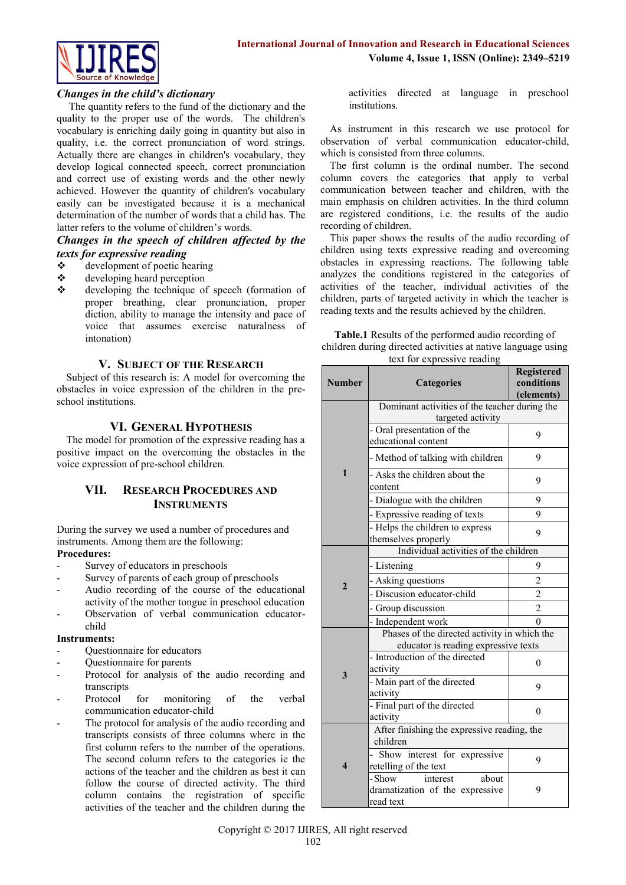

## *Changes in the child's dictionary*

The quantity refers to the fund of the dictionary and the quality to the proper use of the words. The children's vocabulary is enriching daily going in quantity but also in quality, i.e. the correct pronunciation of word strings. Actually there are changes in children's vocabulary, they develop logical connected speech, correct pronunciation and correct use of existing words and the other newly achieved. However the quantity of children's vocabulary easily can be investigated because it is a mechanical determination of the number of words that a child has. The latter refers to the volume of children's words.

## *Changes in the speech of children affected by the texts for expressive reading*

- $\div$  development of poetic hearing
- developing heard perception
- developing the technique of speech (formation of proper breathing, clear pronunciation, proper diction, ability to manage the intensity and pace of voice that assumes exercise naturalness of intonation)

## **V. SUBJECT OF THE RESEARCH**

Subject of this research is: A model for overcoming the obstacles in voice expression of the children in the preschool institutions.

## **VI. GENERAL HYPOTHESIS**

The model for promotion of the expressive reading has a positive impact on the overcoming the obstacles in the voice expression of pre-school children.

# **VII. RESEARCH PROCEDURES AND INSTRUMENTS**

During the survey we used a number of procedures and instruments. Among them are the following: **Procedures:**

- Survey of educators in preschools
- Survey of parents of each group of preschools
- Audio recording of the course of the educational activity of the mother tongue in preschool education
- Observation of verbal communication educatorchild

#### **Instruments:**

- Questionnaire for educators
- Questionnaire for parents
- Protocol for analysis of the audio recording and transcripts
- Protocol for monitoring of the verbal communication educator-child
- The protocol for analysis of the audio recording and transcripts consists of three columns where in the first column refers to the number of the operations. The second column refers to the categories ie the actions of the teacher and the children as best it can follow the course of directed activity. The third column contains the registration of specific activities of the teacher and the children during the

activities directed at language in preschool institutions.

As instrument in this research we use protocol for observation of verbal communication educator-child, which is consisted from three columns.

The first column is the ordinal number. The second column covers the categories that apply to verbal communication between teacher and children, with the main emphasis on children activities. In the third column are registered conditions, i.e. the results of the audio recording of children.

This paper shows the results of the audio recording of children using texts expressive reading and overcoming obstacles in expressing reactions. The following table analyzes the conditions registered in the categories of activities of the teacher, individual activities of the children, parts of targeted activity in which the teacher is reading texts and the results achieved by the children.

**Table.1** Results of the performed audio recording of children during directed activities at native language using text for expressive reading

| <b>Number</b>           | 1.90011921<br><b>Categories</b>                                             | <b>Registered</b><br>conditions<br>(elements) |  |
|-------------------------|-----------------------------------------------------------------------------|-----------------------------------------------|--|
|                         | Dominant activities of the teacher during the                               |                                               |  |
| $\mathbf{1}$            | targeted activity                                                           |                                               |  |
|                         | - Oral presentation of the<br>educational content                           | 9                                             |  |
|                         | - Method of talking with children                                           | 9                                             |  |
|                         | - Asks the children about the<br>content                                    | 9                                             |  |
|                         | - Dialogue with the children                                                | 9                                             |  |
|                         | - Expressive reading of texts                                               | 9                                             |  |
|                         | - Helps the children to express<br>themselves properly                      | 9                                             |  |
| $\overline{2}$          | Individual activities of the children                                       |                                               |  |
|                         | - Listening                                                                 | 9                                             |  |
|                         | - Asking questions                                                          | $\overline{2}$                                |  |
|                         | - Discusion educator-child                                                  | $\overline{2}$                                |  |
|                         | - Group discussion                                                          | $\overline{2}$                                |  |
|                         | - Independent work                                                          | 0                                             |  |
| 3                       | Phases of the directed activity in which the                                |                                               |  |
|                         | educator is reading expressive texts                                        |                                               |  |
|                         | - Introduction of the directed<br>activity                                  | $\theta$                                      |  |
|                         | - Main part of the directed<br>activity                                     | 9                                             |  |
|                         | - Final part of the directed<br>activity                                    | 0                                             |  |
| $\overline{\mathbf{4}}$ | After finishing the expressive reading, the<br>children                     |                                               |  |
|                         | Show interest for expressive<br>retelling of the text                       | 9                                             |  |
|                         | about<br>- Show<br>interest<br>dramatization of the expressive<br>read text | 9                                             |  |

Copyright © 2017 IJIRES, All right reserved 102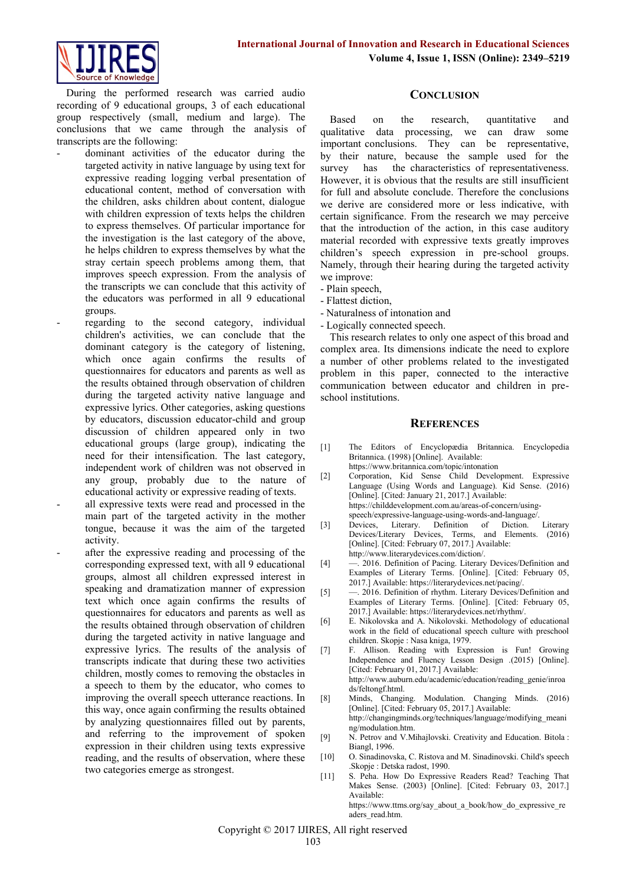

During the performed research was carried audio recording of 9 educational groups, 3 of each educational group respectively (small, medium and large). The conclusions that we came through the analysis of transcripts are the following:

- dominant activities of the educator during the targeted activity in native language by using text for expressive reading logging verbal presentation of educational content, method of conversation with the children, asks children about content, dialogue with children expression of texts helps the children to express themselves. Of particular importance for the investigation is the last category of the above, he helps children to express themselves by what the stray certain speech problems among them, that improves speech expression. From the analysis of the transcripts we can conclude that this activity of the educators was performed in all 9 educational groups.
- regarding to the second category, individual children's activities, we can conclude that the dominant category is the category of listening, which once again confirms the results of questionnaires for educators and parents as well as the results obtained through observation of children during the targeted activity native language and expressive lyrics. Other categories, asking questions by educators, discussion educator-child and group discussion of children appeared only in two educational groups (large group), indicating the need for their intensification. The last category, independent work of children was not observed in any group, probably due to the nature of educational activity or expressive reading of texts.
- all expressive texts were read and processed in the main part of the targeted activity in the mother tongue, because it was the aim of the targeted activity.
- after the expressive reading and processing of the corresponding expressed text, with all 9 educational groups, almost all children expressed interest in speaking and dramatization manner of expression text which once again confirms the results of questionnaires for educators and parents as well as the results obtained through observation of children during the targeted activity in native language and expressive lyrics. The results of the analysis of transcripts indicate that during these two activities children, mostly comes to removing the obstacles in a speech to them by the educator, who comes to improving the overall speech utterance reactions. In this way, once again confirming the results obtained by analyzing questionnaires filled out by parents, and referring to the improvement of spoken expression in their children using texts expressive reading, and the results of observation, where these two categories emerge as strongest.

## **CONCLUSION**

Based on the research, quantitative and qualitative data processing, we can draw some important conclusions. They can be representative, by their nature, because the sample used for the survey has the characteristics of representativeness. However, it is obvious that the results are still insufficient for full and absolute conclude. Therefore the conclusions we derive are considered more or less indicative, with certain significance. From the research we may perceive that the introduction of the action, in this case auditory material recorded with expressive texts greatly improves children's speech expression in pre-school groups. Namely, through their hearing during the targeted activity we improve:

- Plain speech,
- Flattest diction,
- Naturalness of intonation and
- Logically connected speech.

This research relates to only one aspect of this broad and complex area. Its dimensions indicate the need to explore a number of other problems related to the investigated problem in this paper, connected to the interactive communication between educator and children in preschool institutions.

#### **REFERENCES**

- [1] The Editors of Encyclopædia Britannica. Encyclopedia Britannica. (1998) [Online]. Available: https://www.britannica.com/topic/intonation
	-
- [2] Corporation, Kid Sense Child Development. Expressive Language (Using Words and Language). Kid Sense. (2016) [Online]. [Cited: January 21, 2017.] Available: https://childdevelopment.com.au/areas-of-concern/using-
- speech/expressive-language-using-words-and-language/<br>Devices, Literary. Definition of Diction. [3] Devices, Literary. Definition of Diction. Literary Devices/Literary Devices, Terms, and Elements. (2016) [Online]. [Cited: February 07, 2017.] Available: http://www.literarydevices.com/diction/.
- [4] —. 2016. Definition of Pacing. Literary Devices/Definition and Examples of Literary Terms. [Online]. [Cited: February 05, 2017.] Available: https://literarydevices.net/pacing/.
- [5] 2016. Definition of rhythm. Literary Devices/Definition and Examples of Literary Terms. [Online]. [Cited: February 05, 2017.] Available: https://literarydevices.net/rhythm/.
- [6] E. Nikolovska and A. Nikolovski. Methodology of educational work in the field of educational speech culture with preschool children. Skopje : Nasa kniga, 1979.
- [7] F. Allison. Reading with Expression is Fun! Growing Independence and Fluency Lesson Design .(2015) [Online]. [Cited: February 01, 2017.] Available: http://www.auburn.edu/academic/education/reading\_genie/inroa
	- ds/feltongf.html.
- [8] Minds, Changing. Modulation. Changing Minds. (2016) [Online]. [Cited: February 05, 2017.] Available: http://changingminds.org/techniques/language/modifying\_meani
- ng/modulation.htm. [9] N. Petrov and V. Mihajlovski. Creativity and Education. Bitola :
- Biangl, 1996.
- [10] O. Sinadinovska, C. Ristova and M. Sinadinovski. Child's speech .Skopje : Detska radost, 1990.
- [11] S. Peha. How Do Expressive Readers Read? Teaching That Makes Sense. (2003) [Online]. [Cited: February 03, 2017.] Available: https://www.ttms.org/say\_about\_a\_book/how\_do\_expressive\_re aders\_read.htm.

Copyright © 2017 IJIRES, All right reserved